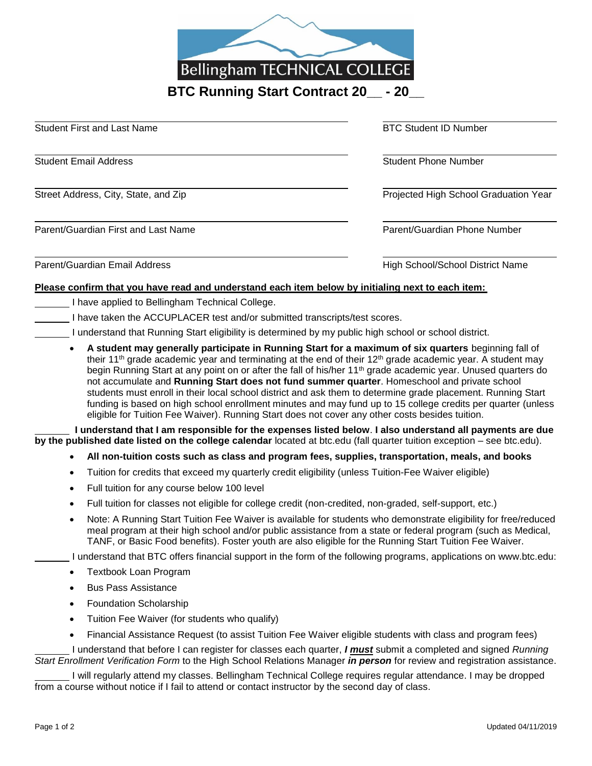

| <b>Student First and Last Name</b>   | <b>BTC Student ID Number</b>          |
|--------------------------------------|---------------------------------------|
| <b>Student Email Address</b>         | <b>Student Phone Number</b>           |
| Street Address, City, State, and Zip | Projected High School Graduation Year |
| Parent/Guardian First and Last Name  | Parent/Guardian Phone Number          |
| Parent/Guardian Email Address        | High School/School District Name      |

## **Please confirm that you have read and understand each item below by initialing next to each item:**

- I have applied to Bellingham Technical College.
	- I have taken the ACCUPLACER test and/or submitted transcripts/test scores.
		- I understand that Running Start eligibility is determined by my public high school or school district.
			- **A student may generally participate in Running Start for a maximum of six quarters** beginning fall of their 11<sup>th</sup> grade academic year and terminating at the end of their 12<sup>th</sup> grade academic year. A student may begin Running Start at any point on or after the fall of his/her 11th grade academic year. Unused quarters do not accumulate and **Running Start does not fund summer quarter**. Homeschool and private school students must enroll in their local school district and ask them to determine grade placement. Running Start funding is based on high school enrollment minutes and may fund up to 15 college credits per quarter (unless eligible for Tuition Fee Waiver). Running Start does not cover any other costs besides tuition.

 **I understand that I am responsible for the expenses listed below**. **I also understand all payments are due by the published date listed on the college calendar** located at btc.edu (fall quarter tuition exception – see btc.edu).

- **All non-tuition costs such as class and program fees, supplies, transportation, meals, and books**
- Tuition for credits that exceed my quarterly credit eligibility (unless Tuition-Fee Waiver eligible)
- Full tuition for any course below 100 level
- Full tuition for classes not eligible for college credit (non-credited, non-graded, self-support, etc.)
- Note: A Running Start Tuition Fee Waiver is available for students who demonstrate eligibility for free/reduced meal program at their high school and/or public assistance from a state or federal program (such as Medical, TANF, or Basic Food benefits). Foster youth are also eligible for the Running Start Tuition Fee Waiver.

I understand that BTC offers financial support in the form of the following programs, applications on www.btc.edu:

- Textbook Loan Program
- Bus Pass Assistance
- Foundation Scholarship
- Tuition Fee Waiver (for students who qualify)
- Financial Assistance Request (to assist Tuition Fee Waiver eligible students with class and program fees)

I understand that before I can register for classes each quarter, *I must* submit a completed and signed *Running Start Enrollment Verification Form* to the High School Relations Manager *in person* for review and registration assistance.

I will regularly attend my classes. Bellingham Technical College requires regular attendance. I may be dropped from a course without notice if I fail to attend or contact instructor by the second day of class.